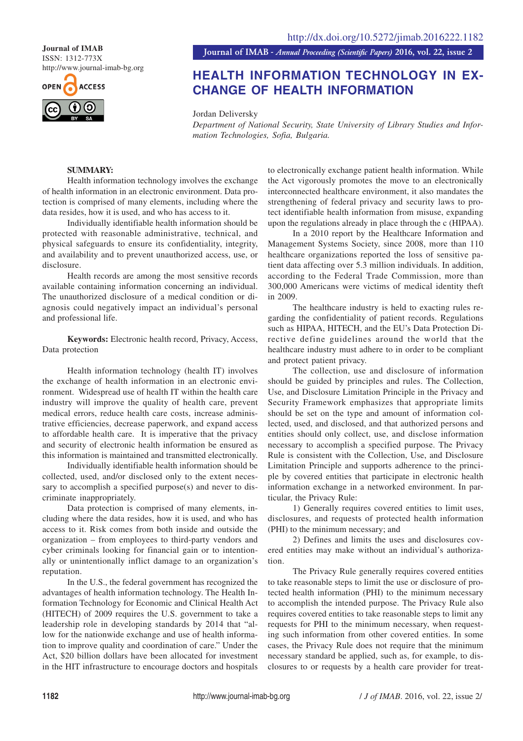ISSN: 1312-773X http://www.journal-imab-bg.org



**Journal of IMAB** *- Annual Proceeding (Scientific Papers)* **2016, vol. 22, issue 2 Journal of IMAB**

# **HEALTH INFORMATION TECHNOLOGY IN EX-CHANGE OF HEALTH INFORMATION**

Jordan Deliversky

*Department of National Security, State University of Library Studies and Information Technologies, Sofia, Bulgaria.*

# **SUMMARY:**

Health information technology involves the exchange of health information in an electronic environment. Data protection is comprised of many elements, including where the data resides, how it is used, and who has access to it.

Individually identifiable health information should be protected with reasonable administrative, technical, and physical safeguards to ensure its confidentiality, integrity, and availability and to prevent unauthorized access, use, or disclosure.

Health records are among the most sensitive records available containing information concerning an individual. The unauthorized disclosure of a medical condition or diagnosis could negatively impact an individual's personal and professional life.

**Keywords:** Electronic health record, Privacy, Access, Data protection

Health information technology (health IT) involves the exchange of health information in an electronic environment. Widespread use of health IT within the health care industry will improve the quality of health care, prevent medical errors, reduce health care costs, increase administrative efficiencies, decrease paperwork, and expand access to affordable health care. It is imperative that the privacy and security of electronic health information be ensured as this information is maintained and transmitted electronically.

Individually identifiable health information should be collected, used, and/or disclosed only to the extent necessary to accomplish a specified purpose(s) and never to discriminate inappropriately.

Data protection is comprised of many elements, including where the data resides, how it is used, and who has access to it. Risk comes from both inside and outside the organization – from employees to third-party vendors and cyber criminals looking for financial gain or to intentionally or unintentionally inflict damage to an organization's reputation.

In the U.S., the federal government has recognized the advantages of health information technology. The Health Information Technology for Economic and Clinical Health Act (HITECH) of 2009 requires the U.S. government to take a leadership role in developing standards by 2014 that "allow for the nationwide exchange and use of health information to improve quality and coordination of care." Under the Act, \$20 billion dollars have been allocated for investment in the HIT infrastructure to encourage doctors and hospitals

to electronically exchange patient health information. While the Act vigorously promotes the move to an electronically interconnected healthcare environment, it also mandates the strengthening of federal privacy and security laws to protect identifiable health information from misuse, expanding upon the regulations already in place through the c (HIPAA).

In a 2010 report by the Healthcare Information and Management Systems Society, since 2008, more than 110 healthcare organizations reported the loss of sensitive patient data affecting over 5.3 million individuals. In addition, according to the Federal Trade Commission, more than 300,000 Americans were victims of medical identity theft in 2009.

The healthcare industry is held to exacting rules regarding the confidentiality of patient records. Regulations such as HIPAA, HITECH, and the EU's Data Protection Directive define guidelines around the world that the healthcare industry must adhere to in order to be compliant and protect patient privacy.

The collection, use and disclosure of information should be guided by principles and rules. The Collection, Use, and Disclosure Limitation Principle in the Privacy and Security Framework emphasizes that appropriate limits should be set on the type and amount of information collected, used, and disclosed, and that authorized persons and entities should only collect, use, and disclose information necessary to accomplish a specified purpose. The Privacy Rule is consistent with the Collection, Use, and Disclosure Limitation Principle and supports adherence to the principle by covered entities that participate in electronic health information exchange in a networked environment. In particular, the Privacy Rule:

1) Generally requires covered entities to limit uses, disclosures, and requests of protected health information (PHI) to the minimum necessary; and

2) Defines and limits the uses and disclosures covered entities may make without an individual's authorization.

The Privacy Rule generally requires covered entities to take reasonable steps to limit the use or disclosure of protected health information (PHI) to the minimum necessary to accomplish the intended purpose. The Privacy Rule also requires covered entities to take reasonable steps to limit any requests for PHI to the minimum necessary, when requesting such information from other covered entities. In some cases, the Privacy Rule does not require that the minimum necessary standard be applied, such as, for example, to disclosures to or requests by a health care provider for treat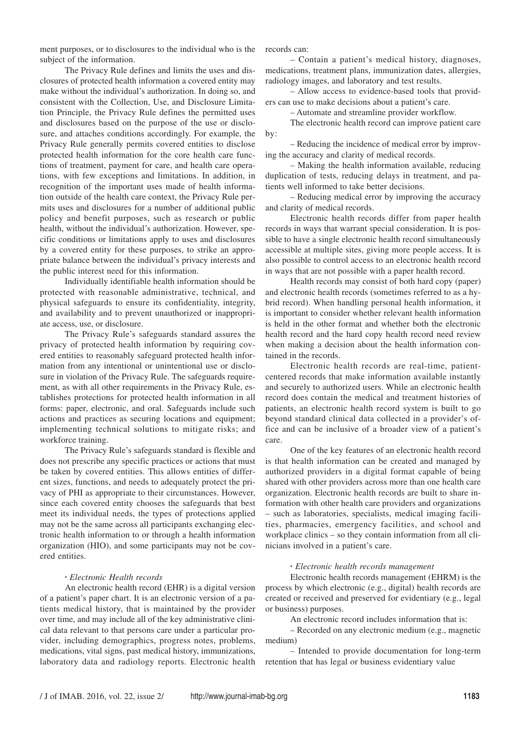ment purposes, or to disclosures to the individual who is the subject of the information.

The Privacy Rule defines and limits the uses and disclosures of protected health information a covered entity may make without the individual's authorization. In doing so, and consistent with the Collection, Use, and Disclosure Limitation Principle, the Privacy Rule defines the permitted uses and disclosures based on the purpose of the use or disclosure, and attaches conditions accordingly. For example, the Privacy Rule generally permits covered entities to disclose protected health information for the core health care functions of treatment, payment for care, and health care operations, with few exceptions and limitations. In addition, in recognition of the important uses made of health information outside of the health care context, the Privacy Rule permits uses and disclosures for a number of additional public policy and benefit purposes, such as research or public health, without the individual's authorization. However, specific conditions or limitations apply to uses and disclosures by a covered entity for these purposes, to strike an appropriate balance between the individual's privacy interests and the public interest need for this information.

Individually identifiable health information should be protected with reasonable administrative, technical, and physical safeguards to ensure its confidentiality, integrity, and availability and to prevent unauthorized or inappropriate access, use, or disclosure.

The Privacy Rule's safeguards standard assures the privacy of protected health information by requiring covered entities to reasonably safeguard protected health information from any intentional or unintentional use or disclosure in violation of the Privacy Rule. The safeguards requirement, as with all other requirements in the Privacy Rule, establishes protections for protected health information in all forms: paper, electronic, and oral. Safeguards include such actions and practices as securing locations and equipment; implementing technical solutions to mitigate risks; and workforce training.

The Privacy Rule's safeguards standard is flexible and does not prescribe any specific practices or actions that must be taken by covered entities. This allows entities of different sizes, functions, and needs to adequately protect the privacy of PHI as appropriate to their circumstances. However, since each covered entity chooses the safeguards that best meet its individual needs, the types of protections applied may not be the same across all participants exchanging electronic health information to or through a health information organization (HIO), and some participants may not be covered entities.

### **·** *Electronic Health records*

An electronic health record (EHR) is a digital version of a patient's paper chart. It is an electronic version of a patients medical history, that is maintained by the provider over time, and may include all of the key administrative clinical data relevant to that persons care under a particular provider, including demographics, progress notes, problems, medications, vital signs, past medical history, immunizations, laboratory data and radiology reports. Electronic health records can:

– Contain a patient's medical history, diagnoses, medications, treatment plans, immunization dates, allergies, radiology images, and laboratory and test results.

– Allow access to evidence-based tools that providers can use to make decisions about a patient's care.

– Automate and streamline provider workflow.

The electronic health record can improve patient care by:

– Reducing the incidence of medical error by improving the accuracy and clarity of medical records.

– Making the health information available, reducing duplication of tests, reducing delays in treatment, and patients well informed to take better decisions.

– Reducing medical error by improving the accuracy and clarity of medical records.

Electronic health records differ from paper health records in ways that warrant special consideration. It is possible to have a single electronic health record simultaneously accessible at multiple sites, giving more people access. It is also possible to control access to an electronic health record in ways that are not possible with a paper health record.

Health records may consist of both hard copy (paper) and electronic health records (sometimes referred to as a hybrid record). When handling personal health information, it is important to consider whether relevant health information is held in the other format and whether both the electronic health record and the hard copy health record need review when making a decision about the health information contained in the records.

Electronic health records are real-time, patientcentered records that make information available instantly and securely to authorized users. While an electronic health record does contain the medical and treatment histories of patients, an electronic health record system is built to go beyond standard clinical data collected in a provider's office and can be inclusive of a broader view of a patient's care.

One of the key features of an electronic health record is that health information can be created and managed by authorized providers in a digital format capable of being shared with other providers across more than one health care organization. Electronic health records are built to share information with other health care providers and organizations – such as laboratories, specialists, medical imaging facilities, pharmacies, emergency facilities, and school and workplace clinics – so they contain information from all clinicians involved in a patient's care.

## **·** *Electronic health records management*

Electronic health records management (EHRM) is the process by which electronic (e.g., digital) health records are created or received and preserved for evidentiary (e.g., legal or business) purposes.

An electronic record includes information that is:

– Recorded on any electronic medium (e.g., magnetic medium)

– Intended to provide documentation for long-term retention that has legal or business evidentiary value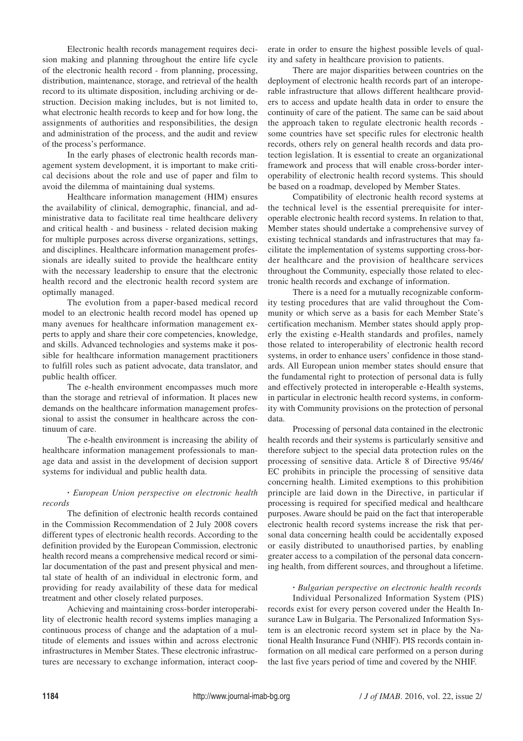Electronic health records management requires decision making and planning throughout the entire life cycle of the electronic health record - from planning, processing, distribution, maintenance, storage, and retrieval of the health record to its ultimate disposition, including archiving or destruction. Decision making includes, but is not limited to, what electronic health records to keep and for how long, the assignments of authorities and responsibilities, the design and administration of the process, and the audit and review of the process's performance.

In the early phases of electronic health records management system development, it is important to make critical decisions about the role and use of paper and film to avoid the dilemma of maintaining dual systems.

Healthcare information management (HIM) ensures the availability of clinical, demographic, financial, and administrative data to facilitate real time healthcare delivery and critical health - and business - related decision making for multiple purposes across diverse organizations, settings, and disciplines. Healthcare information management professionals are ideally suited to provide the healthcare entity with the necessary leadership to ensure that the electronic health record and the electronic health record system are optimally managed.

The evolution from a paper-based medical record model to an electronic health record model has opened up many avenues for healthcare information management experts to apply and share their core competencies, knowledge, and skills. Advanced technologies and systems make it possible for healthcare information management practitioners to fulfill roles such as patient advocate, data translator, and public health officer.

The e-health environment encompasses much more than the storage and retrieval of information. It places new demands on the healthcare information management professional to assist the consumer in healthcare across the continuum of care.

The e-health environment is increasing the ability of healthcare information management professionals to manage data and assist in the development of decision support systems for individual and public health data.

# **·** *European Union perspective on electronic health records*

The definition of electronic health records contained in the Commission Recommendation of 2 July 2008 covers different types of electronic health records. According to the definition provided by the European Commission, electronic health record means a comprehensive medical record or similar documentation of the past and present physical and mental state of health of an individual in electronic form, and providing for ready availability of these data for medical treatment and other closely related purposes.

Achieving and maintaining cross-border interoperability of electronic health record systems implies managing a continuous process of change and the adaptation of a multitude of elements and issues within and across electronic infrastructures in Member States. These electronic infrastructures are necessary to exchange information, interact coop-

erate in order to ensure the highest possible levels of quality and safety in healthcare provision to patients.

There are major disparities between countries on the deployment of electronic health records part of an interoperable infrastructure that allows different healthcare providers to access and update health data in order to ensure the continuity of care of the patient. The same can be said about the approach taken to regulate electronic health records some countries have set specific rules for electronic health records, others rely on general health records and data protection legislation. It is essential to create an organizational framework and process that will enable cross-border interoperability of electronic health record systems. This should be based on a roadmap, developed by Member States.

Compatibility of electronic health record systems at the technical level is the essential prerequisite for interoperable electronic health record systems. In relation to that, Member states should undertake a comprehensive survey of existing technical standards and infrastructures that may facilitate the implementation of systems supporting cross-border healthcare and the provision of healthcare services throughout the Community, especially those related to electronic health records and exchange of information.

There is a need for a mutually recognizable conformity testing procedures that are valid throughout the Community or which serve as a basis for each Member State's certification mechanism. Member states should apply properly the existing e-Health standards and profiles, namely those related to interoperability of electronic health record systems, in order to enhance users' confidence in those standards. All European union member states should ensure that the fundamental right to protection of personal data is fully and effectively protected in interoperable e-Health systems, in particular in electronic health record systems, in conformity with Community provisions on the protection of personal data.

Processing of personal data contained in the electronic health records and their systems is particularly sensitive and therefore subject to the special data protection rules on the processing of sensitive data. Article 8 of Directive 95/46/ EC prohibits in principle the processing of sensitive data concerning health. Limited exemptions to this prohibition principle are laid down in the Directive, in particular if processing is required for specified medical and healthcare purposes. Aware should be paid on the fact that interoperable electronic health record systems increase the risk that personal data concerning health could be accidentally exposed or easily distributed to unauthorised parties, by enabling greater access to a compilation of the personal data concerning health, from different sources, and throughout a lifetime.

## **·** *Bulgarian perspective on electronic health records*

Individual Personalized Information System (PIS) records exist for every person covered under the Health Insurance Law in Bulgaria. The Personalized Information System is an electronic record system set in place by the National Health Insurance Fund (NHIF). PIS records contain information on all medical care performed on a person during the last five years period of time and covered by the NHIF.